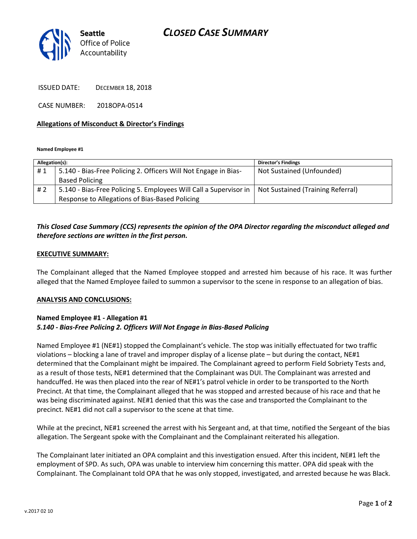# *CLOSED CASE SUMMARY*



ISSUED DATE: DECEMBER 18, 2018

CASE NUMBER: 2018OPA-0514

#### **Allegations of Misconduct & Director's Findings**

**Named Employee #1**

| Allegation(s): |                                                                   | <b>Director's Findings</b>        |
|----------------|-------------------------------------------------------------------|-----------------------------------|
| #1             | 5.140 - Bias-Free Policing 2. Officers Will Not Engage in Bias-   | Not Sustained (Unfounded)         |
|                | <b>Based Policing</b>                                             |                                   |
| #2             | 5.140 - Bias-Free Policing 5. Employees Will Call a Supervisor in | Not Sustained (Training Referral) |
|                | Response to Allegations of Bias-Based Policing                    |                                   |

## *This Closed Case Summary (CCS) represents the opinion of the OPA Director regarding the misconduct alleged and therefore sections are written in the first person.*

#### **EXECUTIVE SUMMARY:**

The Complainant alleged that the Named Employee stopped and arrested him because of his race. It was further alleged that the Named Employee failed to summon a supervisor to the scene in response to an allegation of bias.

#### **ANALYSIS AND CONCLUSIONS:**

## **Named Employee #1 - Allegation #1** *5.140 - Bias-Free Policing 2. Officers Will Not Engage in Bias-Based Policing*

Named Employee #1 (NE#1) stopped the Complainant's vehicle. The stop was initially effectuated for two traffic violations – blocking a lane of travel and improper display of a license plate – but during the contact, NE#1 determined that the Complainant might be impaired. The Complainant agreed to perform Field Sobriety Tests and, as a result of those tests, NE#1 determined that the Complainant was DUI. The Complainant was arrested and handcuffed. He was then placed into the rear of NE#1's patrol vehicle in order to be transported to the North Precinct. At that time, the Complainant alleged that he was stopped and arrested because of his race and that he was being discriminated against. NE#1 denied that this was the case and transported the Complainant to the precinct. NE#1 did not call a supervisor to the scene at that time.

While at the precinct, NE#1 screened the arrest with his Sergeant and, at that time, notified the Sergeant of the bias allegation. The Sergeant spoke with the Complainant and the Complainant reiterated his allegation.

The Complainant later initiated an OPA complaint and this investigation ensued. After this incident, NE#1 left the employment of SPD. As such, OPA was unable to interview him concerning this matter. OPA did speak with the Complainant. The Complainant told OPA that he was only stopped, investigated, and arrested because he was Black.